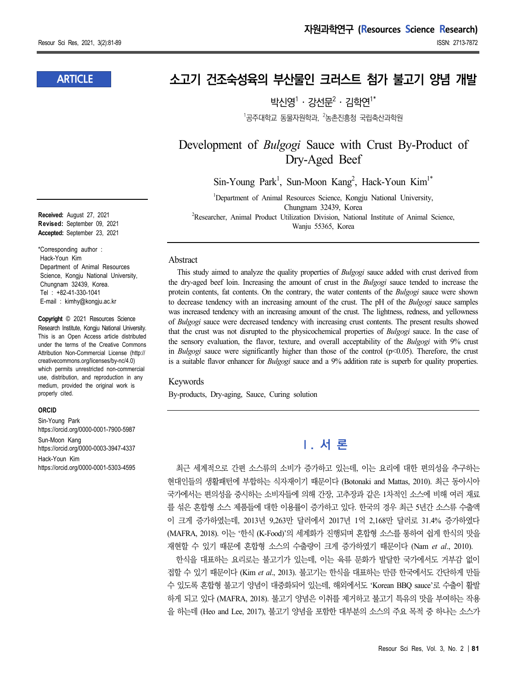### **ARTICLE**

**Received:** August 27, 2021 **Revised:** September 09, 2021 **Accepted:** September 23, 2021

\*Corresponding author : Hack-Youn Kim Department of Animal Resources Science, Kongju National University, Chungnam 32439, Korea. Tel : +82-41-330-1041 E-mail : kimhy@kongju.ac.kr

**Copyright** © 2021 Resources Science Research Institute, Kongju National University. This is an Open Access article distributed under the terms of the Creative Commons Attribution Non-Commercial License (http:// creativecommons.org/licenses/by-nc/4.0) which permits unrestricted non-commercial use, distribution, and reproduction in any medium, provided the original work is properly cited.

#### **ORCID**

Sin-Young Park https://orcid.org/0000-0001-7900-5987 Sun-Moon Kang https://orcid.org/0000-0003-3947-4337 Hack-Youn Kim https://orcid.org/0000-0001-5303-4595

# **소고기 건조숙성육의 부산물인 크러스트 첨가 불고기 양념 개발**

박시영 $1 \cdot 2$ 선문 $2 \cdot 2$ 한연 $1^*$ 

 $1$ 공주대학교 동물자원학과,  $2$ 농촌진흥청 국립축산과학원

Development of *Bulgogi* Sauce with Crust By-Product of Dry-Aged Beef

Sin-Young Park<sup>1</sup>, Sun-Moon Kang<sup>2</sup>, Hack-Youn Kim<sup>1\*</sup>

<sup>1</sup>Department of Animal Resources Science, Kongju National University, Chungnam 32439, Korea <sup>2</sup>Researcher, Animal Product Utilization Division, National Institute of Animal Science, Wanju 55365, Korea

#### Abstract

This study aimed to analyze the quality properties of *Bulgogi* sauce added with crust derived from the dry-aged beef loin. Increasing the amount of crust in the *Bulgogi* sauce tended to increase the protein contents, fat contents. On the contrary, the water contents of the *Bulgogi* sauce were shown to decrease tendency with an increasing amount of the crust. The pH of the *Bulgogi* sauce samples was increased tendency with an increasing amount of the crust. The lightness, redness, and yellowness of *Bulgogi* sauce were decreased tendency with increasing crust contents. The present results showed that the crust was not disrupted to the physicochemical properties of *Bulgogi* sauce. In the case of the sensory evaluation, the flavor, texture, and overall acceptability of the *Bulgogi* with 9% crust in *Bulgogi* sauce were significantly higher than those of the control (p<0.05). Therefore, the crust is a suitable flavor enhancer for *Bulgogi* sauce and a 9% addition rate is superb for quality properties.

#### Keywords

By-products, Dry-aging, Sauce, Curing solution

# **Ⅰ. 서 론**

최근 세계적으로 간편 소스류의 소비가 증가하고 있는데, 이는 요리에 대한 편의성을 추구하는 현대인들의 생활패턴에 부합하는 식자재이기 때문이다 (Botonaki and Mattas, 2010). 최근 동아시아 국가에서는 편의성을 중시하는 소비자들에 의해 간장, 고추장과 같은 1차적인 소스에 비해 여러 재료 를 섞은 혼합형 소스 제품들에 대한 이용률이 증가하고 있다. 한국의 경우 최근 5년간 소스류 수출액 이 크게 증가하였는데, 2013년 9,263만 달러에서 2017년 1억 2,168만 달러로 31.4% 증가하였다 (MAFRA, 2018). 이는 '한식 (K-Food)'의 세계화가 진행되며 혼합형 소스를 통하여 쉽게 한식의 맛을 재현할 수 있기 때문에 혼합형 소스의 수출량이 크게 증가하였기 때문이다 (Nam *et al*., 2010).

한식을 대표하는 요리로는 불고기가 있는데, 이는 육류 문화가 발달한 국가에서도 거부감 없이 접할 수 있기 때문이다 (Kim *et al*., 2013). 불고기는 한식을 대표하는 만큼 한국에서도 간단하게 만들 수 있도록 혼합형 불고기 양념이 대중화되어 있는데, 해외에서도 'Korean BBQ sauce'로 수출이 활발 하게 되고 있다 (MAFRA, 2018). 불고기 양념은 이취를 제거하고 불고기 특유의 맛을 부여하는 작용 을 하는데 (Heo and Lee, 2017), 불고기 양념을 포함한 대부분의 소스의 주요 목적 중 하나는 소스가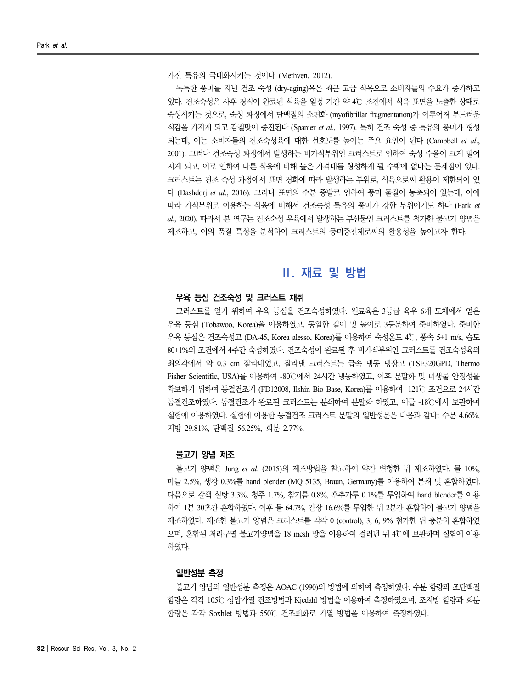가진 특유의 극대화시키는 것이다 (Methven, 2012).

독특한 풍미를 지닌 건조 숙성 (dry-aging)육은 최근 고급 식육으로 소비자들의 수요가 증가하고 있다. 건조숙성은 사후 경직이 완료된 식육을 일정 기간 약 4℃ 조건에서 식육 표면을 노출한 상태로 숙성시키는 것으로, 숙성 과정에서 단백질의 소편화 (myofibrillar fragmentation)가 이루어져 부드러운 식감을 가지게 되고 감칠맛이 증진된다 (Spanier *et al*., 1997). 특히 건조 숙성 중 특유의 풍미가 형성 되는데, 이는 소비자들의 건조숙성육에 대한 선호도를 높이는 주요 요인이 된다 (Campbell *et al.*,<br>2001). 그러나 건조숙성 과정에서 발생하는 비가식부위인 크러스트로 인하여 숙성 수율이 크게 떨어 지게 되고, 이로 인하여 다른 식육에 비해 높은 가격대를 형성하게 될 수밖에 없다는 문제점이 있다. 크러스트는 건조 숙성 과정에서 표면 경화에 따라 발생하는 부위로, 식육으로써 활용이 제한되어 있 다 (Dashdorj *et al*., 2016). 그러나 표면의 수분 증발로 인하여 풍미 물질이 농축되어 있는데, 이에 따라 가식부위로 이용하는 식육에 비해서 건조숙성 특유의 풍미가 강한 부위이기도 하다 (Park *et al*., 2020). 따라서 본 연구는 건조숙성 우육에서 발생하는 부산물인 크러스트를 첨가한 불고기 양념을 제조하고, 이의 품질 특성을 분석하여 크러스트의 풍미증진제로써의 활용성을 높이고자 한다.

## **Ⅱ. 재료 및 방법**

### **우육 등심 건조숙성 및 크러스트 채취**

크러스트를 얻기 위하여 우육 등심을 건조숙성하였다. 원료육은 3등급 육우 6개 도체에서 얻은 우육 등심 (Tobawoo, Korea)을 이용하였고, 동일한 길이 및 높이로 3등분하여 준비하였다. 준비한 우육 등심은 건조숙성고 (DA-45, Korea alesso, Korea)를 이용하여 숙성온도 4℃, 풍속 5±1 m/s, 습도 80±1%의 조건에서 4주간 숙성하였다. 건조숙성이 완료된 후 비가식부위인 크러스트를 건조숙성육의 최외각에서 약 0.3 cm 잘라내었고, 잘라낸 크러스트는 급속 냉동 냉장고 (TSE320GPD, Thermo Fisher Scientific, USA)를 이용하여 -80℃에서 24시간 냉동하였고, 이후 분말화 및 미생물 안정성을 확보하기 위하여 동결건조기 (FD12008, Ilshin Bio Base, Korea)를 이용하여 -121℃ 조건으로 24시간 동결건조하였다. 동결건조가 완료된 크러스트는 분쇄하여 분말화 하였고, 이를 -18℃에서 보관하며 실험에 이용하였다. 실험에 이용한 동결건조 크러스트 분말의 일반성분은 다음과 같다: 수분 4.66%, 지방 29.81%, 단백질 56.25%, 회분 2.77%.

#### **불고기 양념 제조**

불고기 양념은 Jung *et al*. (2015)의 제조방법을 참고하여 약간 변형한 뒤 제조하였다. 물 10%, 마늘 2.5%, 생강 0.3%를 hand blender (MQ 5135, Braun, Germany)를 이용하여 분쇄 및 혼합하였다. 다음으로 갈색 설탕 3.3%, 청주 1.7%, 참기름 0.8%, 후추가루 0.1%를 투입하여 hand blender를 이용 하여 1분 30초간 혼합하였다. 이후 물 64.7%, 간장 16.6%를 투입한 뒤 2분간 혼합하여 불고기 양념을 제조하였다. 제조한 불고기 양념은 크러스트를 각각 0 (control), 3, 6, 9% 첨가한 뒤 충분히 혼합하였 으며, 혼합된 처리구별 불고기양념을 18 mesh 망을 이용하여 걸러낸 뒤 4℃에 보관하며 실험에 이용 하였다.

#### **일반성분 측정**

불고기 양념의 일반성분 측정은 AOAC (1990)의 방법에 의하여 측정하였다. 수분 함량과 조단백질 함량은 각각 105℃ 상압가열 건조방법과 Kjedahl 방법을 이용하여 측정하였으며, 조지방 함량과 회분 함량은 각각 Soxhlet 방법과 550℃ 건조회화로 가열 방법을 이용하여 측정하였다.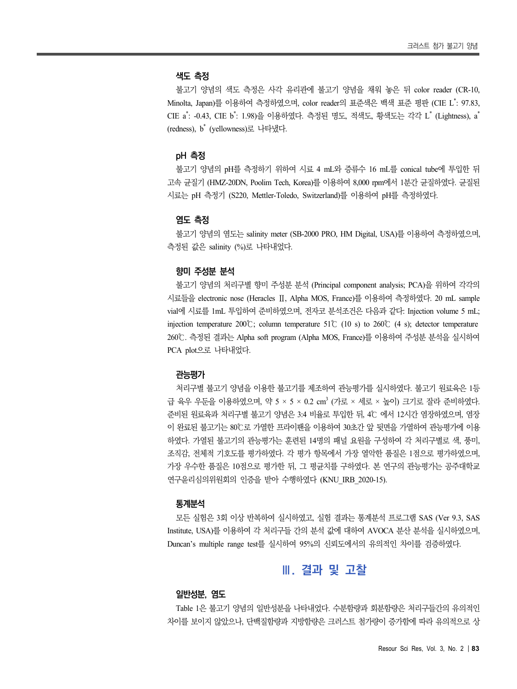#### **색도 측정**

불고기 양념의 색도 측정은 사각 유리관에 불고기 양념을 채워 놓은 뒤 color reader (CR-10, Minolta, Japan)를 이용하여 측정하였으며, color reader의 표준색은 백색 표준 평판 (CIE L \* : 97.83, CIE a \* : -0.43, CIE b \* : 1.98)을 이용하였다. 측정된 명도, 적색도, 황색도는 각각 L \* (Lightness), a \* *\** \* \* \* \* \* \* (redness), b \* (yellowness)로 나타냈다.

#### **pH 측정**

불고기 양념의 pH를 측정하기 위하여 시료 4 mL와 증류수 16 mL를 conical tube에 투입한 뒤 고속 균질기 (HMZ-20DN, Poolim Tech, Korea)를 이용하여 8,000 rpm에서 1분간 균질하였다. 균질된 시료는 pH 측정기 (S220, Mettler-Toledo, Switzerland)를 이용하여 pH를 측정하였다.

#### **염도 측정**

불고기 양념의 염도는 salinity meter (SB-2000 PRO, HM Digital, USA)를 이용하여 측정하였으며, 측정된 값은 salinity (%)로 나타내었다.

#### **향미 주성분 분석**

불고기 양념의 처리구별 향미 주성분 분석 (Principal component analysis; PCA)을 위하여 각각의 시료들을 electronic nose (Heracles Ⅱ, Alpha MOS, France)를 이용하여 측정하였다. 20 mL sample vial에 시료를 1mL 투입하여 준비하였으며, 전자코 분석조건은 다음과 같다: Injection volume 5 mL; injection temperature 200℃; column temperature 51℃ (10 s) to 260℃ (4 s); detector temperature 260℃. 측정된 결과는 Alpha soft program (Alpha MOS, France)를 이용하여 주성분 분석을 실시하여 PCA plot으로 나타내었다.

#### **관능평가**

처리구별 불고기 양념을 이용한 불고기를 제조하여 관능평가를 실시하였다. 불고기 원료육은 1등 급 육우 우둔을 이용하였으며, 약 5 × 5 × 0.2 cm<sup>3</sup> (가로 × 세로 × 높이) 크기로 잘라 준비하였다. 준비된 원료육과 처리구별 불고기 양념은 3:4 비율로 투입한 뒤, 4℃ 에서 12시간 염장하였으며, 염장 이 완료된 불고기는 80℃로 가열한 프라이팬을 이용하여 30초간 앞 뒷면을 가열하여 관능평가에 이용 하였다. 가열된 불고기의 관능평가는 훈련된 14명의 패널 요원을 구성하여 각 처리구별로 색, 풍미, 조직감, 전체적 기호도를 평가하였다. 각 평가 항목에서 가장 열악한 품질은 1점으로 평가하였으며, 가장 우수한 품질은 10점으로 평가한 뒤, 그 평균치를 구하였다. 본 연구의 관능평가는 공주대학교 연구윤리심의위원회의 인증을 받아 수행하였다 (KNU IRB 2020-15).

### **통계분석**

모든 실험은 3회 이상 반복하여 실시하였고, 실험 결과는 통계분석 프로그램 SAS (Ver 9.3, SAS Institute, USA)를 이용하여 각 처리구들 간의 분석 값에 대하여 AVOCA 분산 분석을 실시하였으며, Duncan's multiple range test를 실시하여 95%의 신뢰도에서의 유의적인 차이를 검증하였다.

### **Ⅲ. 결과 및 고찰**

### **일반성분, 염도**

Table 1은 불고기 양념의 일반성분을 나타내었다. 수분함량과 회분함량은 처리구들간의 유의적인 차이를 보이지 않았으나, 단백질함량과 지방함량은 크러스트 첨가량이 증가함에 따라 유의적으로 상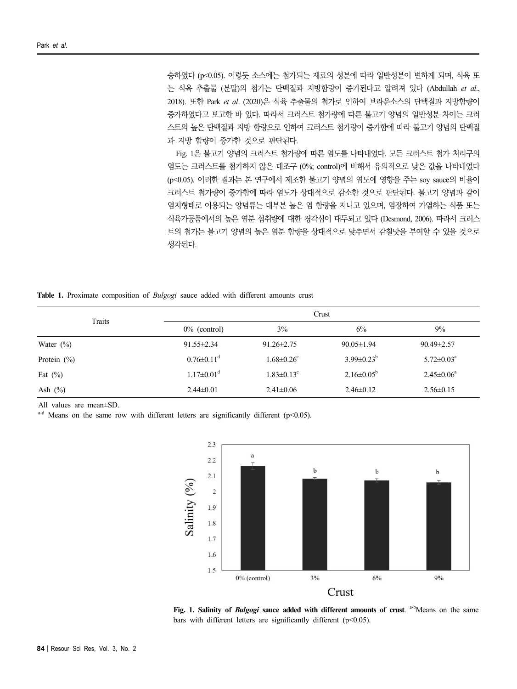승하였다 (p<0.05). 이렇듯 소스에는 첨가되는 재료의 성분에 따라 일반성분이 변하게 되며, 식육 또 는 식육 추출물 (분말)의 첨가는 단백질과 지방함량이 증가된다고 알려져 있다 (Abdullah *et al*., 2018). 또한 Park *et al*. (2020)은 식육 추출물의 첨가로 인하여 브라운소스의 단백질과 지방함량이 증가하였다고 보고한 바 있다. 따라서 크러스트 첨가량에 따른 불고기 양념의 일반성분 차이는 크러 스트의 높은 단백질과 지방 함량으로 인하여 크러스트 첨가량이 증가함에 따라 불고기 양념의 단백질 과 지방 함량이 증가한 것으로 판단된다.<br>Fig. 1은 불고기 양념의 크러스트 첨가량에 따른 염도를 나타내었다. 모든 크러스트 첨가 처리구의

염도는 크러스트를 첨가하지 않은 대조구 (0%; control)에 비해서 유의적으로 낮은 값을 나타내었다 (p<0.05). 이러한 결과는 본 연구에서 제조한 불고기 양념의 염도에 영향을 주는 soy sauce의 비율이 크러스트 첨가량이 증가함에 따라 염도가 상대적으로 감소한 것으로 판단된다. 불고기 양념과 같이 염지형태로 이용되는 양념류는 대부분 높은 염 함량을 지니고 있으며, 염장하여 가열하는 식품 또는 식육가공품에서의 높은 염분 섭취량에 대한 경각심이 대두되고 있다 (Desmond, 2006). 따라서 크러스 트의 첨가는 불고기 양념의 높은 염분 함량을 상대적으로 낮추면서 감칠맛을 부여할 수 있을 것으로 생각된다.

**Table 1.** Proximate composition of *Bulgogi* sauce added with different amounts crust

| Traits         | Crust                        |                              |                   |                            |  |
|----------------|------------------------------|------------------------------|-------------------|----------------------------|--|
|                | $0\%$ (control)              | 3%                           | 6%                | 9%                         |  |
| Water $(\%)$   | $91.55 \pm 2.34$             | $91.26 \pm 2.75$             | $90.05 \pm 1.94$  | $90.49 \pm 2.57$           |  |
| Protein $(\%)$ | $0.76 \pm 0.11$ <sup>d</sup> | $1.68 \pm 0.26$ <sup>c</sup> | $3.99 \pm 0.23^b$ | $5.72 \pm 0.03^{\text{a}}$ |  |
| Fat $(\%)$     | $1.17 \pm 0.01$ <sup>d</sup> | $1.83 \pm 0.13$ <sup>c</sup> | $2.16 \pm 0.05^b$ | $2.45 \pm 0.06^a$          |  |
| Ash $(\%)$     | $2.44 \pm 0.01$              | $2.41 \pm 0.06$              | $2.46 \pm 0.12$   | $2.56 \pm 0.15$            |  |

All values are mean±SD.

a<sup>-d</sup> Means on the same row with different letters are significantly different (p<0.05).



**Fig. 1. Salinity of** *Bulgogi* sauce added with different amounts of crust. a<sup>-b</sup>Means on the same bars with different letters are significantly different (p<0.05).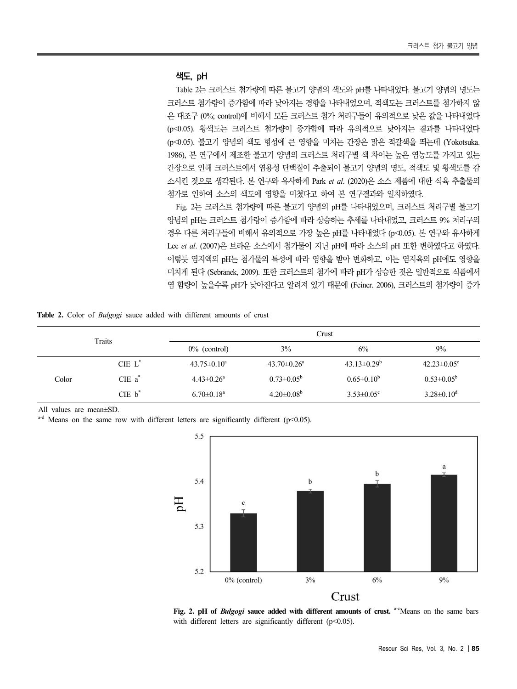### **색도, pH**

Table 2는 크러스트 첨가량에 따른 불고기 양념의 색도와 pH를 나타내었다. 불고기 양념의 명도는 크러스트 첨가량이 증가함에 따라 낮아지는 경향을 나타내었으며, 적색도는 크러스트를 첨가하지 않 은 대조구 (0%; control)에 비해서 모든 크러스트 첨가 처리구들이 유의적으로 낮은 값을 나타내었다 (p<0.05). 황색도는 크러스트 첨가량이 증가함에 따라 유의적으로 낮아지는 결과를 나타내었다 (p<0.05). 불고기 양념의 색도 형성에 큰 영향을 미치는 간장은 맑은 적갈색을 띄는데 (Yokotsuka. 1986), 본 연구에서 제조한 불고기 양념의 크러스트 처리구별 색 차이는 높은 염농도를 가지고 있는 간장으로 인해 크러스트에서 염용성 단백질이 추출되어 불고기 양념의 명도, 적색도 및 황색도를 감 소시킨 것으로 생각된다. 본 연구와 유사하게 Park *et al*. (2020)은 소스 제품에 대한 식육 추출물의 첨가로 인하여 소스의 색도에 영향을 미쳤다고 하여 본 연구결과와 일치하였다.

Fig. 2는 크러스트 첨가량에 따른 불고기 양념의 pH를 나타내었으며, 크러스트 처리구별 불고기 양념의 pH는 크러스트 첨가량이 증가함에 따라 상승하는 추세를 나타내었고, 크러스트 9% 처리구의 경우 다른 처리구들에 비해서 유의적으로 가장 높은 pH를 나타내었다 (p<0.05). 본 연구와 유사하게 Lee *et al*. (2007)은 브라운 소스에서 첨가물이 지닌 pH에 따라 소스의 pH 또한 변하였다고 하였다. 이렇듯 염지액의 pH는 첨가물의 특성에 따라 영향을 받아 변화하고, 이는 염지육의 pH에도 영향을 미치게 된다 (Sebranek, 2009). 또한 크러스트의 첨가에 따라 pH가 상승한 것은 일반적으로 식품에서 염 함량이 높을수록 pH가 낮아진다고 알려져 있기 때문에 (Feiner. 2006), 크러스트의 첨가량이 증가

**Table 2.** Color of *Bulgogi* sauce added with different amounts of crust

| Traits |                      | Crust                        |                               |                              |                               |  |
|--------|----------------------|------------------------------|-------------------------------|------------------------------|-------------------------------|--|
|        |                      | $0\%$ (control)              | 3%                            | 6%                           | $9\%$                         |  |
|        | $CIE L^*$            | $43.75 \pm 0.10^a$           | $43.70 \pm 0.26$ <sup>a</sup> | $43.13 \pm 0.29^b$           | $42.23 \pm 0.05$ <sup>c</sup> |  |
| Color  | $CIE$ a <sup>*</sup> | $4.43 \pm 0.26$ <sup>a</sup> | $0.73 \pm 0.05^{\rm b}$       | $0.65 \pm 0.10^b$            | $0.53 \pm 0.05^b$             |  |
|        | CIE b                | $6.70 \pm 0.18$ <sup>a</sup> | $4.20 \pm 0.08^b$             | $3.53 \pm 0.05$ <sup>c</sup> | $3.28 \pm 0.10^d$             |  |

All values are mean±SD.

<sup>a-d</sup> Means on the same row with different letters are significantly different (p<0.05).



**Fig. 2. pH of** *Bulgogi* **sauce added with different amounts of crust.** a-cMeans on the same bars with different letters are significantly different (p<0.05).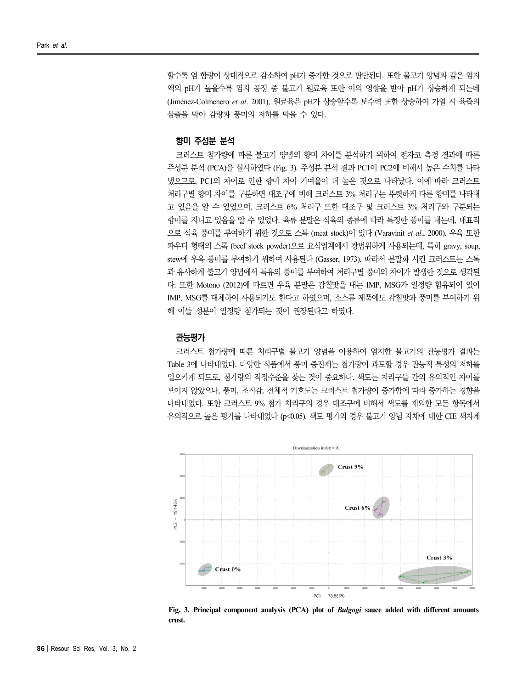할수록 염 함량이 상대적으로 감소하여 pH가 증가한 것으로 판단된다. 또한 불고기 양념과 같은 염지 액의 pH가 높을수록 염지 공정 중 불고기 원료육 또한 이의 영향을 받아 pH가 상승하게 되는데 (Jiménez-Colmenero *et al*. 2001), 원료육은 pH가 상승할수록 보수력 또한 상승하여 가열 시 육즙의 삼출을 막아 감량과 풍미의 저하를 막을 수 있다.

### **향미 주성분 분석**

크러스트 첨가량에 따른 불고기 양념의 향미 차이를 분석하기 위하여 전자코 측정 결과에 따른 주성분 분석 (PCA)을 실시하였다 (Fig. 3). 주성분 분석 결과 PC1이 PC2에 비해서 높은 수치를 나타 냈으므로, PC1의 차이로 인한 향미 차이 기여율이 더 높은 것으로 나타났다. 이에 따라 크러스트 처리구별 향미 차이를 구분하면 대조구에 비해 크러스트 3% 처리구는 뚜렷하게 다른 향미를 나타내 고 있음을 알 수 있었으며, 크러스트 6% 처리구 또한 대조구 및 크러스트 3% 처리구와 구분되는 향미를 지니고 있음을 알 수 있었다. 육류 분말은 식육의 종류에 따라 특정한 풍미를 내는데, 대표적 으로 식육 풍미를 부여하기 위한 것으로 스톡 (meat stock)이 있다 (Varavinit *et al*., 2000). 우육 또한 파우더 형태의 스톡 (beef stock powder)으로 요식업계에서 광범위하게 사용되는데, 특히 gravy, soup, stew에 우육 풍미를 부여하기 위하여 사용된다 (Gasser, 1973). 따라서 분말화 시킨 크러스트는 스톡 과 유사하게 불고기 양념에서 특유의 풍미를 부여하여 처리구별 풍미의 차이가 발생한 것으로 생각된 다. 또한 Motono (2012)에 따르면 우육 분말은 감칠맛을 내는 IMP, MSG가 일정량 함유되어 있어 IMP, MSG를 대체하여 사용되기도 한다고 하였으며, 소스류 제품에도 감칠맛과 풍미를 부여하기 위 해 이들 성분이 일정량 첨가되는 것이 권장된다고 하였다.

#### **관능평가**

크러스트 첨가량에 따른 처리구별 불고기 양념을 이용하여 염지한 불고기의 관능평가 결과는 Table 3에 나타내었다. 다양한 식품에서 풍미 증진제는 첨가량이 과도할 경우 관능적 특성의 저하를 일으키게 되므로, 첨가량의 적정수준을 찾는 것이 중요하다. 색도는 처리구들 간의 유의적인 차이를 보이지 않았으나, 풍미, 조직감, 전체적 기호도는 크러스트 첨가량이 증가함에 따라 증가하는 경향을 나타내었다. 또한 크러스트 9% 첨가 처리구의 경우 대조구에 비해서 색도를 제외한 모든 항목에서 유의적으로 높은 평가를 나타내었다 (p<0.05). 색도 평가의 경우 불고기 양념 자체에 대한 CIE 색차계



**Fig. 3. Principal component analysis (PCA) plot of** *Bulgogi* **sauce added with different amounts crust.**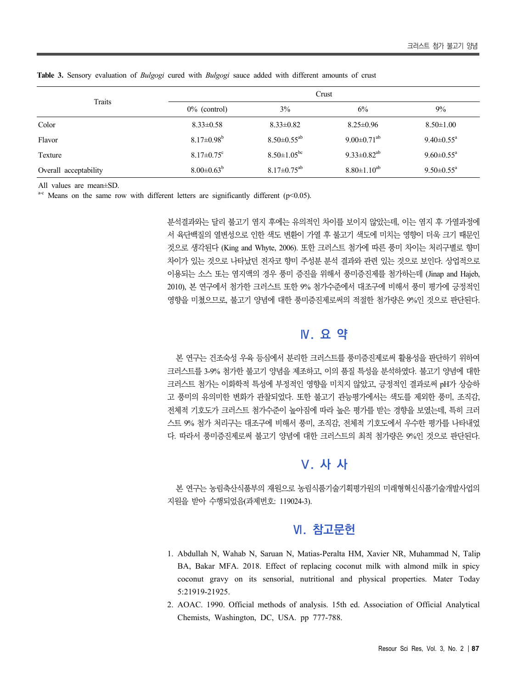| Traits                | Crust                        |                               |                               |                            |
|-----------------------|------------------------------|-------------------------------|-------------------------------|----------------------------|
|                       | $0\%$ (control)              | 3%                            | 6%                            | 9%                         |
| Color                 | $8.33 \pm 0.58$              | $8.33 \pm 0.82$               | $8.25 \pm 0.96$               | $8.50 \pm 1.00$            |
| Flavor                | $8.17 \pm 0.98$ <sup>b</sup> | $8.50 \pm 0.55$ <sup>ab</sup> | $9.00 \pm 0.71$ <sup>ab</sup> | $9.40 \pm 0.55^{\text{a}}$ |
| Texture               | $8.17 \pm 0.75$ <sup>c</sup> | $8.50 \pm 1.05^{bc}$          | $9.33 \pm 0.82^{ab}$          | $9.60 \pm 0.55^{\text{a}}$ |
| Overall acceptability | $8.00 \pm 0.63^b$            | $8.17 \pm 0.75$ <sup>ab</sup> | $8.80 \pm 1.10^{ab}$          | $9.50 \pm 0.55^{\text{a}}$ |

**Table 3.** Sensory evaluation of *Bulgogi* cured with *Bulgogi* sauce added with different amounts of crust

All values are mean±SD.

<sup>a-c</sup> Means on the same row with different letters are significantly different ( $p$ <0.05).

분석결과와는 달리 불고기 염지 후에는 유의적인 차이를 보이지 않았는데, 이는 염지 후 가열과정에 서 육단백질의 열변성으로 인한 색도 변환이 가열 후 불고기 색도에 미치는 영향이 더욱 크기 때문인 것으로 생각된다 (King and Whyte, 2006). 또한 크러스트 첨가에 따른 풍미 차이는 처리구별로 향미 차이가 있는 것으로 나타났던 전자코 향미 주성분 분석 결과와 관련 있는 것으로 보인다. 상업적으로 이용되는 소스 또는 염지액의 경우 풍미 증진을 위해서 풍미증진제를 첨가하는데 (Jinap and Hajeb, 2010), 본 연구에서 첨가한 크러스트 또한 9% 첨가수준에서 대조구에 비해서 풍미 평가에 긍정적인 영향을 미쳤으므로, 불고기 양념에 대한 풍미증진제로써의 적절한 첨가량은 9%인 것으로 판단된다.

## **Ⅳ. 요 약**

본 연구는 건조숙성 우육 등심에서 분리한 크러스트를 풍미증진제로써 활용성을 판단하기 위하여 크러스트를 3-9% 첨가한 불고기 양념을 제조하고, 이의 품질 특성을 분석하였다. 불고기 양념에 대한 크러스트 첨가는 이화학적 특성에 부정적인 영향을 미치지 않았고, 긍정적인 결과로써 pH가 상승하 고 풍미의 유의미한 변화가 관찰되었다. 또한 불고기 관능평가에서는 색도를 제외한 풍미, 조직감, 전체적 기호도가 크러스트 첨가수준이 높아짐에 따라 높은 평가를 받는 경향을 보였는데, 특히 크러 스트 9% 첨가 처리구는 대조구에 비해서 풍미, 조직감, 전체적 기호도에서 우수한 평가를 나타내었 다. 따라서 풍미증진제로써 불고기 양념에 대한 크러스트의 최적 첨가량은 9%인 것으로 판단된다.

# **Ⅴ. 사 사**

본 연구는 농림축산식품부의 재원으로 농림식품기술기획평가원의 미래형혁신식품기술개발사업의 지원을 받아 수행되었음(과제번호: 119024-3).

## **Ⅵ. 참고문헌**

- 1. Abdullah N, Wahab N, Saruan N, Matias-Peralta HM, Xavier NR, Muhammad N, Talip BA, Bakar MFA. 2018. Effect of replacing coconut milk with almond milk in spicy coconut gravy on its sensorial, nutritional and physical properties. Mater Today 5:21919-21925.
- 2. AOAC. 1990. Official methods of analysis. 15th ed. Association of Official Analytical Chemists, Washington, DC, USA. pp 777-788.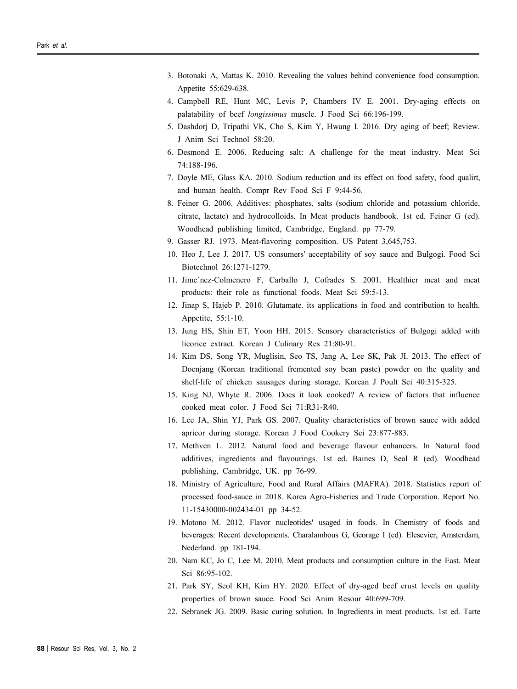- 3. Botonaki A, Mattas K. 2010. Revealing the values behind convenience food consumption. Appetite 55:629-638.
- 4. Campbell RE, Hunt MC, Levis P, Chambers IV E. 2001. Dry-aging effects on palatability of beef *longissimus* muscle. J Food Sci 66:196-199.
- 5. Dashdorj D, Tripathi VK, Cho S, Kim Y, Hwang I. 2016. Dry aging of beef; Review. J Anim Sci Technol 58:20.
- 6. Desmond E. 2006. Reducing salt: A challenge for the meat industry. Meat Sci 74:188-196.
- 7. Doyle ME, Glass KA. 2010. Sodium reduction and its effect on food safety, food qualirt, and human health. Compr Rev Food Sci F 9:44-56.
- 8. Feiner G. 2006. Additives: phosphates, salts (sodium chloride and potassium chloride, citrate, lactate) and hydrocolloids. In Meat products handbook. 1st ed. Feiner G (ed). Woodhead publishing limited, Cambridge, England. pp 77-79.
- 9. Gasser RJ. 1973. Meat-flavoring composition. US Patent 3,645,753.
- 10. Heo J, Lee J. 2017. US consumers' acceptability of soy sauce and Bulgogi. Food Sci Biotechnol 26:1271-1279.
- 11. Jime´nez-Colmenero F, Carballo J, Cofrades S. 2001. Healthier meat and meat products: their role as functional foods. Meat Sci 59:5-13.
- 12. Jinap S, Hajeb P. 2010. Glutamate. its applications in food and contribution to health. Appetite, 55:1-10.
- 13. Jung HS, Shin ET, Yoon HH. 2015. Sensory characteristics of Bulgogi added with licorice extract. Korean J Culinary Res 21:80-91.
- 14. Kim DS, Song YR, Muglisin, Seo TS, Jang A, Lee SK, Pak JI. 2013. The effect of Doenjang (Korean traditional fremented soy bean paste) powder on the quality and shelf-life of chicken sausages during storage. Korean J Poult Sci 40:315-325.
- 15. King NJ, Whyte R. 2006. Does it look cooked? A review of factors that influence cooked meat color. J Food Sci 71:R31-R40.
- 16. Lee JA, Shin YJ, Park GS. 2007. Quality characteristics of brown sauce with added apricor during storage. Korean J Food Cookery Sci 23:877-883.
- 17. Methven L. 2012. Natural food and beverage flavour enhancers. In Natural food additives, ingredients and flavourings. 1st ed. Baines D, Seal R (ed). Woodhead publishing, Cambridge, UK. pp 76-99.
- 18. Ministry of Agriculture, Food and Rural Affairs (MAFRA). 2018. Statistics report of processed food-sauce in 2018. Korea Agro-Fisheries and Trade Corporation. Report No. 11-15430000-002434-01 pp 34-52.
- 19. Motono M. 2012. Flavor nucleotides' usaged in foods. In Chemistry of foods and beverages: Recent developments. Charalambous G, Georage I (ed). Elesevier, Amsterdam, Nederland. pp 181-194.
- 20. Nam KC, Jo C, Lee M. 2010. Meat products and consumption culture in the East. Meat Sci 86:95-102.
- 21. Park SY, Seol KH, Kim HY. 2020. Effect of dry-aged beef crust levels on quality properties of brown sauce. Food Sci Anim Resour 40:699-709.
- 22. Sebranek JG. 2009. Basic curing solution. In Ingredients in meat products. 1st ed. Tarte